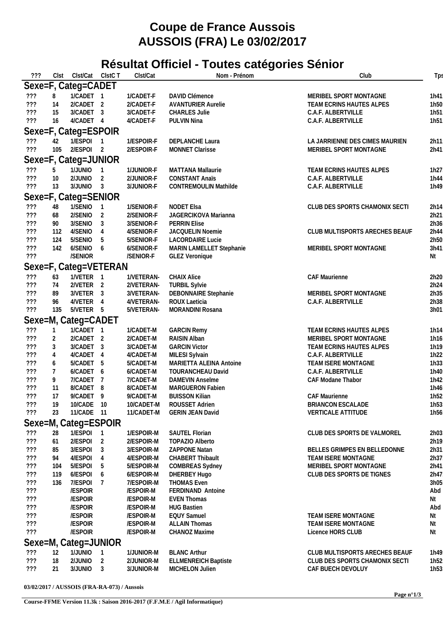## **Coupe de France Aussois AUSSOIS (FRA) Le 03/02/2017**

## **Résultat Officiel - Toutes catégories Sénior**

| ???        | Clst           | Clst/Cat ClstC T                   |                     | Clst/Cat                 | Nom - Prénom                                   | Club                                                             | Tps                      |
|------------|----------------|------------------------------------|---------------------|--------------------------|------------------------------------------------|------------------------------------------------------------------|--------------------------|
|            |                | Sexe=F, Categ=CADET                |                     |                          |                                                |                                                                  |                          |
| ???        | 8              | 1/CADET 1                          |                     | 1/CADET-F                | DAVID Clémence                                 | MERIBEL SPORT MONTAGNE                                           | 1h41                     |
| 777        | 14             | 2/CADET 2                          |                     | 2/CADET-F                | <b>AVANTURIER Aurelie</b>                      | TEAM ECRINS HAUTES ALPES                                         | 1h50                     |
| 777        | 15             | 3/CADET 3                          |                     | 3/CADET-F                | <b>CHARLES Julie</b>                           | C.A.F. ALBERTVILLE                                               | 1h <sub>51</sub>         |
| ???        | 16             | 4/CADET 4                          |                     | 4/CADET-F                | PULVIN Nina                                    | C.A.F. ALBERTVILLE                                               | 1h <sub>51</sub>         |
|            |                | Sexe=F, Categ=ESPOIR               |                     |                          |                                                |                                                                  |                          |
| ???        | 42             | 1/ESPOI                            |                     | 1/ESPOIR-F               | DEPLANCHE Laura                                | LA JARRIENNE DES CIMES MAURIEN                                   | 2h11                     |
| 777        | 105            | 2/ESPOI 2                          |                     | 2/ESPOIR-F               | <b>MONNET Clarisse</b>                         | MERIBEL SPORT MONTAGNE                                           | 2h41                     |
|            |                | Sexe=F, Categ=JUNIOR               |                     |                          |                                                |                                                                  |                          |
| ???        | 5              | 1/JUNIO                            |                     | 1/JUNIOR-F               | <b>MATTANA Mallaurie</b>                       | TEAM ECRINS HAUTES ALPES                                         | 1h27                     |
| ???        | 10             | 2/JUNIO                            | $\overline{1}$<br>2 | 2/JUNIOR-F               | <b>CONSTANT Anaïs</b>                          | C.A.F. ALBERTVILLE                                               | 1h44                     |
| 777        | 13             | $3/JUNIO$ 3                        |                     | 3/JUNIOR-F               | <b>CONTREMOULIN Mathilde</b>                   | C.A.F. ALBERTVILLE                                               | 1h49                     |
|            |                |                                    |                     |                          |                                                |                                                                  |                          |
|            |                | Sexe=F, Categ=SENIOR               |                     |                          |                                                |                                                                  |                          |
| ???        | 48             | 1/SENIO                            | $\overline{1}$      | 1/SENIOR-F<br>2/SENIOR-F | <b>NODET Elsa</b><br>JAGERCIKOVA Marianna      | CLUB DES SPORTS CHAMONIX SECTI                                   | 2h14                     |
| $?$ ??     | 68             | 2/SENIO<br>3/SENIO                 | 2                   | 3/SENIOR-F               |                                                |                                                                  | 2h21                     |
| ???<br>??? | 90<br>112      | 4/SENIO                            | 3<br>4              | 4/SENIOR-F               | <b>PERRIN Elise</b><br>JACQUELIN Noemie        | CLUB MULTISPORTS ARECHES BEAUF                                   | 2h36<br>2h44             |
| ???        | 124            | 5/SENIO                            | 5                   | 5/SENIOR-F               | <b>LACORDAIRE Lucie</b>                        |                                                                  | 2h50                     |
| ???        | 142            | 6/SENIO                            | 6                   | 6/SENIOR-F               | MARIN LAMELLET Stephanie                       | MERIBEL SPORT MONTAGNE                                           | 3h41                     |
| ???        |                | /SENIOR                            |                     | /SENIOR-F                | <b>GLEZ Veronique</b>                          |                                                                  | Νt                       |
|            |                |                                    |                     |                          |                                                |                                                                  |                          |
|            | 63             | Sexe=F, Categ=VETERAN<br>1/VETER 1 |                     | 1/VETERAN-               | <b>CHAIX Alice</b>                             | CAF Maurienne                                                    | 2h20                     |
| ???<br>??? | 74             | 2/VETER <sub>2</sub>               |                     | 2/VETERAN-               | <b>TURBIL Sylvie</b>                           |                                                                  | 2h24                     |
| $?$ ??     | 89             | 3/VETER 3                          |                     | 3/VETERAN-               | DEBONNAIRE Stephanie                           | MERIBEL SPORT MONTAGNE                                           | 2h35                     |
| ???        | 96             | 4/VETER 4                          |                     | 4/VETERAN-               | ROUX Laeticia                                  | C.A.F. ALBERTVILLE                                               | 2h38                     |
| ???        | 135            | 5/VETER 5                          |                     | 5/VETERAN-               | MORANDINI Rosana                               |                                                                  | 3h01                     |
|            |                | Sexe=M, Categ=CADET                |                     |                          |                                                |                                                                  |                          |
| ???        | $\overline{1}$ | 1/CADET 1                          |                     | 1/CADET-M                | <b>GARCIN Remy</b>                             | TEAM ECRINS HAUTES ALPES                                         | 1h14                     |
| ???        | 2              | 2/CADET 2                          |                     | 2/CADET-M                | RAISIN Alban                                   | MERIBEL SPORT MONTAGNE                                           | 1h16                     |
| ???        | 3              | 3/CADET 3                          |                     | 3/CADET-M                | <b>GARCIN Victor</b>                           | TEAM ECRINS HAUTES ALPES                                         | 1h19                     |
| ???        | $\overline{4}$ | 4/CADET                            | -4                  | 4/CADET-M                | MILESI Sylvain                                 | C.A.F. ALBERTVILLE                                               | 1h22                     |
| $?$ ??     | 6              | 5/CADET                            | -5                  | 5/CADET-M                | MARIETTA ALEINA Antoine                        | TEAM ISERE MONTAGNE                                              | 1h33                     |
| $?$ ??     | $\overline{7}$ | 6/CADET 6                          |                     | 6/CADET-M                | TOURANCHEAU David                              | C.A.F. ALBERTVILLE                                               | 1h40                     |
| ???        | 9              | 7/CADET 7                          |                     | 7/CADET-M                | DAMEVIN Anselme                                | CAF Modane Thabor                                                | 1h42                     |
| ???        | 11             | 8/CADET 8                          |                     | 8/CADET-M                | MARGUERON Fabien                               |                                                                  | 1h46                     |
| 722        | 17             | 9/CADET 9                          |                     | 9/CADET-M                | <b>BUISSON Kilian</b>                          | <b>CAF Maurienne</b>                                             | 1h <sub>52</sub>         |
| ???        | 19             | 10/CADE 10                         |                     | 10/CADET-M               | ROUSSET Adrien                                 | BRIANCON ESCALADE                                                | 1h <sub>53</sub>         |
| ???        | 23             | 11/CADE 11                         |                     | 11/CADET-M               | <b>GERIN JEAN David</b>                        | <b>VERTICALE ATTITUDE</b>                                        | 1h <sub>56</sub>         |
|            |                | Sexe=M, Categ=ESPOIR               |                     |                          |                                                |                                                                  |                          |
| ???        | 28             | 1/ESPOI 1                          |                     | 1/ESPOIR-M               | SAUTEL Florian                                 | CLUB DES SPORTS DE VALMOREL                                      | 2h03                     |
| ???        | 61             | 2/ESPOI                            | 2                   | 2/ESPOIR-M               | <b>TOPAZIO Alberto</b>                         |                                                                  | 2h19                     |
| ???        | 85             | 3/ESPOI                            | 3                   | 3/ESPOIR-M               | ZAPPONE Natan                                  | BELLES GRIMPES EN BELLEDONNE                                     | 2h31                     |
| ???        | 94             | 4/ESPOI                            | 4                   | 4/ESPOIR-M               | <b>CHABERT Thibault</b>                        | <b>TEAM ISERE MONTAGNE</b>                                       | 2h37                     |
| ???        | 104            | 5/ESPOI                            | 5                   | 5/ESPOIR-M               | <b>COMBREAS Sydney</b>                         | MERIBEL SPORT MONTAGNE                                           | 2h41                     |
| ???        | 119            | 6/ESPOI                            | 6                   | 6/ESPOIR-M               | DHERBEY Hugo                                   | CLUB DES SPORTS DE TIGNES                                        | 2h47                     |
| ???        | 136            | 7/ESPOI                            | 7                   | 7/ESPOIR-M               | <b>THOMAS Even</b>                             |                                                                  | 3h05                     |
| ???<br>??? |                | /ESPOIR<br>/ESPOIR                 |                     | /ESPOIR-M<br>/ESPOIR-M   | FERDINAND Antoine<br><b>EVEN Thomas</b>        |                                                                  | Abd<br>Nt                |
| ???        |                | /ESPOIR                            |                     | /ESPOIR-M                | <b>HUG Bastien</b>                             |                                                                  | Abd                      |
| ???        |                | /ESPOIR                            |                     | /ESPOIR-M                | <b>EQUY Samuel</b>                             | TEAM ISERE MONTAGNE                                              | Νt                       |
| 777        |                | /ESPOIR                            |                     | /ESPOIR-M                | <b>ALLAIN Thomas</b>                           | TEAM ISERE MONTAGNE                                              | Nt                       |
| 777        |                | /ESPOIR                            |                     | /ESPOIR-M                | CHANOZ Maxime                                  | Licence HORS CLUB                                                | Nt                       |
|            |                |                                    |                     |                          |                                                |                                                                  |                          |
|            |                | Sexe=M, Categ=JUNIOR               |                     |                          |                                                |                                                                  |                          |
| ???<br>??? | 12<br>18       | 1/JUNIO<br>2/JUNIO                 |                     | 1/JUNIOR-M<br>2/JUNIOR-M | <b>BLANC Arthur</b>                            | CLUB MULTISPORTS ARECHES BEAUF<br>CLUB DES SPORTS CHAMONIX SECTI | 1h49<br>1h <sub>52</sub> |
| ???        | 21             | 3/JUNIO                            | 2<br>3              | 3/JUNIOR-M               | <b>ELLMENREICH Baptiste</b><br>MICHELON Julien | CAF BUECH DEVOLUY                                                | 1h <sub>53</sub>         |
|            |                |                                    |                     |                          |                                                |                                                                  |                          |

**03/02/2017 / AUSSOIS (FRA-RA-073) / Aussois**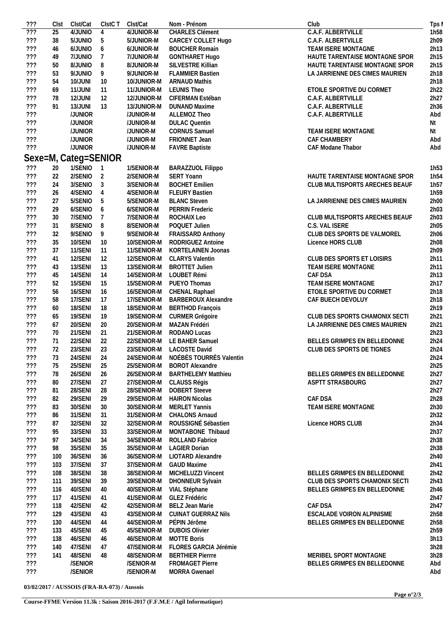| $\overline{???}$<br>???<br>777<br>777<br>777<br>777<br>777<br>777<br>777<br>777<br>777<br>777<br>???<br>???<br>??? | 25<br>38<br>46<br>49<br>50<br>53<br>54<br>69<br>78<br>91 | 4/JUNIO<br>5/JUNIO<br>6/JUNIO<br>7/JUNIO<br>8/JUNIO<br>9/JUNIO<br>10/JUNI<br>11/JUNI | $\overline{4}$<br>5<br>6<br>7<br>8 | 4/JUNIOR-M<br>5/JUNIOR-M<br>6/JUNIOR-M<br>7/JUNIOR-M | <b>CHARLES Clément</b><br>CARCEY COLLET Hugo<br><b>BOUCHER Romain</b><br><b>GONTHARET Hugo</b> | C.A.F. ALBERTVILLE<br>C.A.F. ALBERTVILLE<br>TEAM ISERE MONTAGNE |
|--------------------------------------------------------------------------------------------------------------------|----------------------------------------------------------|--------------------------------------------------------------------------------------|------------------------------------|------------------------------------------------------|------------------------------------------------------------------------------------------------|-----------------------------------------------------------------|
|                                                                                                                    |                                                          |                                                                                      |                                    |                                                      |                                                                                                |                                                                 |
|                                                                                                                    |                                                          |                                                                                      |                                    |                                                      |                                                                                                |                                                                 |
|                                                                                                                    |                                                          |                                                                                      |                                    |                                                      |                                                                                                |                                                                 |
|                                                                                                                    |                                                          |                                                                                      |                                    |                                                      |                                                                                                | HAUTE TARENTAISE MONTAGNE SPOR                                  |
|                                                                                                                    |                                                          |                                                                                      |                                    |                                                      | SILVESTRE Killian                                                                              | HAUTE TARENTAISE MONTAGNE SPOR                                  |
|                                                                                                                    |                                                          |                                                                                      |                                    | 8/JUNIOR-M<br>9/JUNIOR-M                             | <b>FLAMMIER Bastien</b>                                                                        | LA JARRIENNE DES CIMES MAURIEN                                  |
|                                                                                                                    |                                                          |                                                                                      | 9                                  |                                                      |                                                                                                |                                                                 |
|                                                                                                                    |                                                          |                                                                                      | 10                                 | 10/JUNIOR-M                                          | <b>ARNAUD Mathis</b>                                                                           |                                                                 |
|                                                                                                                    |                                                          |                                                                                      | 11                                 | 11/JUNIOR-M                                          | <b>LEUNIS Theo</b>                                                                             | ETOILE SPORTIVE DU CORMET                                       |
|                                                                                                                    |                                                          | 12/JUNI                                                                              | 12                                 | 12/JUNIOR-M                                          | CIFERMAN Estéban                                                                               | C.A.F. ALBERTVILLE                                              |
|                                                                                                                    |                                                          | 13/JUNI                                                                              | 13                                 | 13/JUNIOR-M                                          | <b>DUNAND Maxime</b>                                                                           | C.A.F. ALBERTVILLE                                              |
|                                                                                                                    |                                                          | /JUNIOR                                                                              |                                    | /JUNIOR-M                                            | ALLEMOZ Theo                                                                                   | C.A.F. ALBERTVILLE                                              |
|                                                                                                                    |                                                          | /JUNIOR                                                                              |                                    | /JUNIOR-M                                            | <b>DULAC Quentin</b>                                                                           |                                                                 |
|                                                                                                                    |                                                          | /JUNIOR                                                                              |                                    | /JUNIOR-M                                            | <b>CORNUS Samuel</b>                                                                           | TEAM ISERE MONTAGNE                                             |
|                                                                                                                    |                                                          | /JUNIOR                                                                              |                                    |                                                      |                                                                                                |                                                                 |
|                                                                                                                    |                                                          |                                                                                      |                                    | /JUNIOR-M                                            | FRIONNET Jean                                                                                  | CAF CHAMBERY                                                    |
|                                                                                                                    |                                                          | /JUNIOR                                                                              |                                    | /JUNIOR-M                                            | <b>FAVRE Baptiste</b>                                                                          | CAF Modane Thabor                                               |
|                                                                                                                    |                                                          | Sexe=M, Categ=SENIOR                                                                 |                                    |                                                      |                                                                                                |                                                                 |
| 777                                                                                                                | 20                                                       | 1/SENIO                                                                              | $\overline{1}$                     | 1/SENIOR-M                                           | BARAZZUOL Filippo                                                                              |                                                                 |
| 777                                                                                                                | 22                                                       | 2/SENIO                                                                              | 2                                  | 2/SENIOR-M                                           | <b>SERT Yoann</b>                                                                              | HAUTE TARENTAISE MONTAGNE SPOR                                  |
|                                                                                                                    |                                                          |                                                                                      |                                    |                                                      |                                                                                                |                                                                 |
| 777                                                                                                                | 24                                                       | 3/SENIO                                                                              | 3                                  | 3/SENIOR-M                                           | <b>BOCHET Emilien</b>                                                                          | CLUB MULTISPORTS ARECHES BEAUF                                  |
| 777                                                                                                                | 26                                                       | 4/SENIO                                                                              | 4                                  | 4/SENIOR-M                                           | <b>FLEURY Bastien</b>                                                                          |                                                                 |
| 777                                                                                                                | 27                                                       | 5/SENIO                                                                              | 5                                  | 5/SENIOR-M                                           | <b>BLANC Steven</b>                                                                            | LA JARRIENNE DES CIMES MAURIEN                                  |
| 777                                                                                                                | 29                                                       | 6/SENIO                                                                              | 6                                  | 6/SENIOR-M                                           | <b>PERRIN Frederic</b>                                                                         |                                                                 |
| 777                                                                                                                | $30\,$                                                   | 7/SENIO                                                                              | 7                                  | 7/SENIOR-M                                           | ROCHAIX Leo                                                                                    | CLUB MULTISPORTS ARECHES BEAUF                                  |
| $?$ ??                                                                                                             | 31                                                       | 8/SENIO                                                                              | 8                                  | 8/SENIOR-M                                           | POQUET Julien                                                                                  | C.S. VAL ISERE                                                  |
| ???                                                                                                                | 32                                                       | 9/SENIO                                                                              |                                    | 9/SENIOR-M                                           | FRAISSARD Anthony                                                                              | CLUB DES SPORTS DE VALMOREL                                     |
|                                                                                                                    |                                                          |                                                                                      | 9                                  |                                                      |                                                                                                |                                                                 |
| 777                                                                                                                | 35                                                       | 10/SENI                                                                              | 10                                 | 10/SENIOR-M                                          | RODRIGUEZ Antoine                                                                              | Licence HORS CLUB                                               |
| 777                                                                                                                | 37                                                       | 11/SENI                                                                              | 11                                 | 11/SENIOR-M                                          | KORTELAINEN Joonas                                                                             |                                                                 |
| 777                                                                                                                | 41                                                       | 12/SENI                                                                              | 12                                 | 12/SENIOR-M                                          | <b>CLARYS Valentin</b>                                                                         | CLUB DES SPORTS ET LOISIRS                                      |
| 777                                                                                                                | 43                                                       | 13/SENI                                                                              | 13                                 | 13/SENIOR-M                                          | <b>BROTTET Julien</b>                                                                          | TEAM ISERE MONTAGNE                                             |
| 777                                                                                                                | 45                                                       | 14/SENI                                                                              | 14                                 | 14/SENIOR-M                                          | LOUBET Rémi                                                                                    | CAF DSA                                                         |
| $?$ ??                                                                                                             | 52                                                       | 15/SENI                                                                              | 15                                 | 15/SENIOR-M                                          | PUEYO Thomas                                                                                   | TEAM ISERE MONTAGNE                                             |
| 777                                                                                                                | 56                                                       | 16/SENI                                                                              | 16                                 | 16/SENIOR-M                                          | CHENAL Raphael                                                                                 | ETOILE SPORTIVE DU CORMET                                       |
| 777                                                                                                                | 58                                                       | 17/SENI                                                                              | 17                                 | 17/SENIOR-M                                          | <b>BARBEROUX Alexandre</b>                                                                     | CAF BUECH DEVOLUY                                               |
|                                                                                                                    |                                                          |                                                                                      |                                    |                                                      |                                                                                                |                                                                 |
| 777                                                                                                                | 60                                                       | 18/SENI                                                                              | 18                                 | 18/SENIOR-M                                          | <b>BERTHOD François</b>                                                                        |                                                                 |
| 777                                                                                                                | 65                                                       | 19/SENI                                                                              | 19                                 | 19/SENIOR-M                                          | CURMER Grégoire                                                                                | CLUB DES SPORTS CHAMONIX SECTI                                  |
| ???                                                                                                                | 67                                                       | 20/SENI                                                                              | 20                                 | 20/SENIOR-M                                          | MAZAN Frédéri                                                                                  | LA JARRIENNE DES CIMES MAURIEN                                  |
| ???                                                                                                                | 70                                                       | 21/SENI                                                                              | 21                                 | 21/SENIOR-M                                          | RODANO Lucas                                                                                   |                                                                 |
| 777                                                                                                                | 71                                                       | 22/SENI                                                                              | 22                                 | 22/SENIOR-M                                          | LE BAHER Samuel                                                                                | BELLES GRIMPES EN BELLEDONNE                                    |
| ???                                                                                                                | 72                                                       | 23/SENI                                                                              | 23                                 |                                                      | 23/SENIOR-M LACOSTE David                                                                      | CLUB DES SPORTS DE TIGNES                                       |
| ???                                                                                                                | 73                                                       | 24/SENI                                                                              | 24                                 | 24/SENIOR-M                                          | NOÉBÈS TOURRÈS Valentin                                                                        |                                                                 |
|                                                                                                                    |                                                          |                                                                                      |                                    |                                                      |                                                                                                |                                                                 |
| ???                                                                                                                | 75                                                       | 25/SENI                                                                              | 25                                 | 25/SENIOR-M                                          | <b>BOROT Alexandre</b>                                                                         |                                                                 |
| ???                                                                                                                | 78                                                       | 26/SENI                                                                              | 26                                 | 26/SENIOR-M                                          | <b>BARTHELEMY Matthieu</b>                                                                     | BELLES GRIMPES EN BELLEDONNE                                    |
| 777                                                                                                                | 80                                                       | 27/SENI                                                                              | 27                                 | 27/SENIOR-M                                          | CLAUSS Régis                                                                                   | ASPTT STRASBOURG                                                |
| ???                                                                                                                | 81                                                       | 28/SENI                                                                              | 28                                 | 28/SENIOR-M                                          | <b>DOBERT Steeve</b>                                                                           |                                                                 |
| 777                                                                                                                | 82                                                       | 29/SENI                                                                              | 29                                 | 29/SENIOR-M                                          | <b>HAIRON Nicolas</b>                                                                          | CAF DSA                                                         |
| ???                                                                                                                | 83                                                       | 30/SENI                                                                              | 30                                 | 30/SENIOR-M                                          | MERLET Yannis                                                                                  | TEAM ISERE MONTAGNE                                             |
| 777                                                                                                                | 86                                                       | 31/SENI                                                                              |                                    | 31/SENIOR-M                                          | <b>CHALONS Arnaud</b>                                                                          |                                                                 |
|                                                                                                                    |                                                          |                                                                                      | 31                                 |                                                      |                                                                                                |                                                                 |
| 777                                                                                                                | 87                                                       | 32/SENI                                                                              | 32                                 | 32/SENIOR-M                                          | ROUSSIGNÉ Sébastien                                                                            | Licence HORS CLUB                                               |
| ???                                                                                                                | 95                                                       | 33/SENI                                                                              | 33                                 | 33/SENIOR-M                                          | MONTABONE Thibaud                                                                              |                                                                 |
| ???                                                                                                                | 97                                                       | 34/SENI                                                                              | 34                                 | 34/SENIOR-M                                          | ROLLAND Fabrice                                                                                |                                                                 |
| 777                                                                                                                | 98                                                       | 35/SENI                                                                              | 35                                 | 35/SENIOR-M                                          | <b>LAGIER Dorian</b>                                                                           |                                                                 |
| ???                                                                                                                | 100                                                      | 36/SENI                                                                              | 36                                 | 36/SENIOR-M                                          | LIOTARD Alexandre                                                                              |                                                                 |
| ???                                                                                                                | 103                                                      | 37/SENI                                                                              | 37                                 | 37/SENIOR-M                                          | <b>GAUD Maxime</b>                                                                             |                                                                 |
|                                                                                                                    |                                                          |                                                                                      |                                    |                                                      |                                                                                                |                                                                 |
| ???                                                                                                                | 108                                                      | 38/SENI                                                                              | 38                                 | 38/SENIOR-M                                          | MICHELUZZI Vincent                                                                             | BELLES GRIMPES EN BELLEDONNE                                    |
| ???                                                                                                                | 111                                                      | 39/SENI                                                                              | 39                                 | 39/SENIOR-M                                          | DHONNEUR Sylvain                                                                               | CLUB DES SPORTS CHAMONIX SECTI                                  |
| 777                                                                                                                | 116                                                      | 40/SENI                                                                              | 40                                 | 40/SENIOR-M                                          | VIAL Stéphane                                                                                  | BELLES GRIMPES EN BELLEDONNE                                    |
| 777                                                                                                                | 117                                                      | 41/SENI                                                                              | 41                                 | 41/SENIOR-M                                          | GLEZ Frédéric                                                                                  |                                                                 |
| 777                                                                                                                | 118                                                      | 42/SENI                                                                              | 42                                 | 42/SENIOR-M                                          | BELZ Jean Marie                                                                                | CAF DSA                                                         |
| ???                                                                                                                | 129                                                      | 43/SENI                                                                              | 43                                 | 43/SENIOR-M                                          | <b>CUINAT GUERRAZ Nils</b>                                                                     | ESCALADE VOIRON ALPINISME                                       |
| ???                                                                                                                | 130                                                      | 44/SENI                                                                              | 44                                 | 44/SENIOR-M                                          | PÉPIN Jérôme                                                                                   | BELLES GRIMPES EN BELLEDONNE                                    |
|                                                                                                                    |                                                          | 45/SENI                                                                              |                                    |                                                      |                                                                                                |                                                                 |
| ???                                                                                                                | 133                                                      |                                                                                      | 45                                 | 45/SENIOR-M                                          | <b>DUBOIS Olivier</b>                                                                          |                                                                 |
| ???                                                                                                                | 138                                                      | 46/SENI                                                                              | 46                                 | 46/SENIOR-M                                          | <b>MOTTE Boris</b>                                                                             |                                                                 |
| ???                                                                                                                | 140                                                      | 47/SENI                                                                              | 47                                 | 47/SENIOR-M                                          | FLORES GARCIA Jérémie                                                                          |                                                                 |
| ???                                                                                                                | 141                                                      | 48/SENI                                                                              | 48                                 | 48/SENIOR-M                                          | <b>BERTHIER Pierrre</b>                                                                        | MERIBEL SPORT MONTAGNE                                          |
| ???                                                                                                                |                                                          | /SENIOR                                                                              |                                    | /SENIOR-M                                            | <b>FROMAGET Pierre</b>                                                                         | BELLES GRIMPES EN BELLEDONNE                                    |
| ???                                                                                                                |                                                          | /SENIOR                                                                              |                                    | /SENIOR-M                                            | <b>MORRA Gwenael</b>                                                                           |                                                                 |

**03/02/2017 / AUSSOIS (FRA-RA-073) / Aussois**